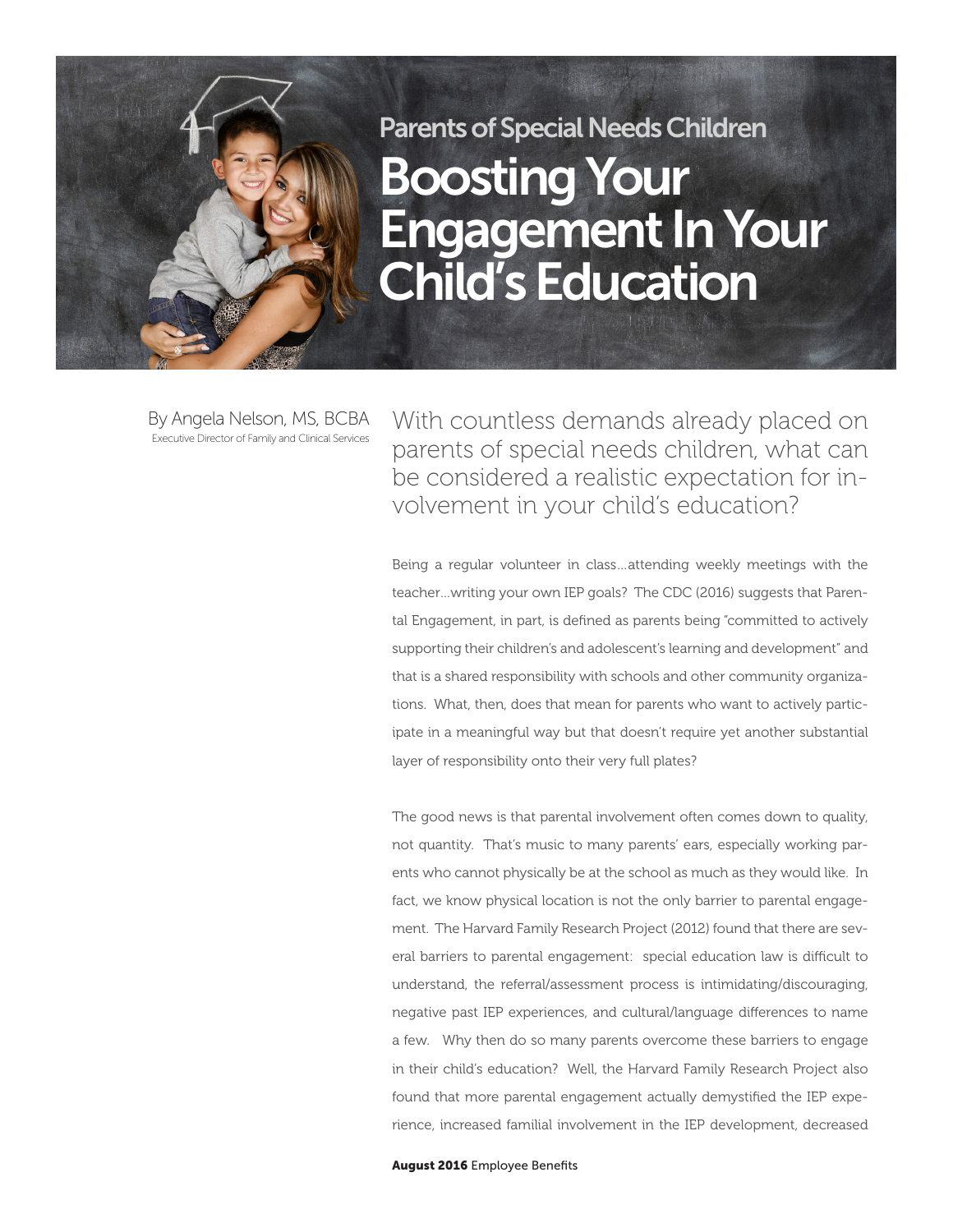## Parents of Special Needs Children Boosting Your Engagement In Your Child's Education

By Angela Nelson, MS, BCBA Executive Director of Family and Clinical Services

With countless demands already placed on parents of special needs children, what can be considered a realistic expectation for involvement in your child's education?

Being a regular volunteer in class…attending weekly meetings with the teacher…writing your own IEP goals? The CDC (2016) suggests that Parental Engagement, in part, is defined as parents being "committed to actively supporting their children's and adolescent's learning and development" and that is a shared responsibility with schools and other community organizations. What, then, does that mean for parents who want to actively participate in a meaningful way but that doesn't require yet another substantial layer of responsibility onto their very full plates?

The good news is that parental involvement often comes down to quality, not quantity. That's music to many parents' ears, especially working parents who cannot physically be at the school as much as they would like. In fact, we know physical location is not the only barrier to parental engagement. The Harvard Family Research Project (2012) found that there are several barriers to parental engagement: special education law is difficult to understand, the referral/assessment process is intimidating/discouraging, negative past IEP experiences, and cultural/language differences to name a few. Why then do so many parents overcome these barriers to engage in their child's education? Well, the Harvard Family Research Project also found that more parental engagement actually demystified the IEP experience, increased familial involvement in the IEP development, decreased

August 2016 Employee Benefits